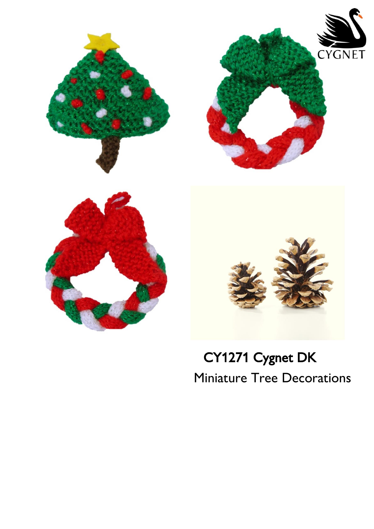

# CY1271 Cygnet DK Miniature Tree Decorations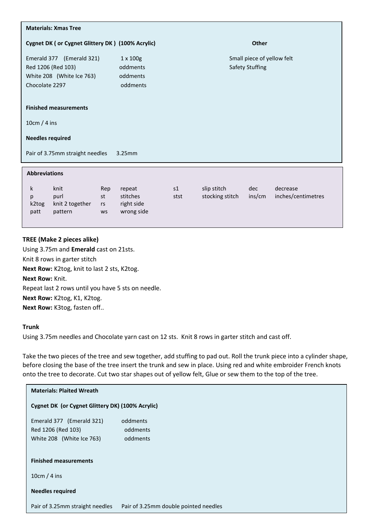| <b>Materials: Xmas Tree</b>                                                                               |                                                       |                                                      |                                |               |                                |  |
|-----------------------------------------------------------------------------------------------------------|-------------------------------------------------------|------------------------------------------------------|--------------------------------|---------------|--------------------------------|--|
| Cygnet DK ( or Cygnet Glittery DK ) (100% Acrylic)                                                        | <b>Other</b>                                          |                                                      |                                |               |                                |  |
| Emerald 377 (Emerald 321)<br>Red 1206 (Red 103)<br>White 208 (White Ice 763)<br>Chocolate 2297            | $1 \times 100$ g<br>oddments<br>oddments<br>oddments  | Small piece of yellow felt<br><b>Safety Stuffing</b> |                                |               |                                |  |
| <b>Finished measurements</b>                                                                              |                                                       |                                                      |                                |               |                                |  |
| 10cm / 4 ins                                                                                              |                                                       |                                                      |                                |               |                                |  |
| <b>Needles required</b>                                                                                   |                                                       |                                                      |                                |               |                                |  |
| Pair of 3.75mm straight needles<br>$3.25$ mm                                                              |                                                       |                                                      |                                |               |                                |  |
| <b>Abbreviations</b>                                                                                      |                                                       |                                                      |                                |               |                                |  |
| $\mathsf{k}$<br>knit<br>purl<br>st<br>p<br>knit 2 together<br>k2tog<br>rs<br>pattern<br>patt<br><b>WS</b> | Rep<br>repeat<br>stitches<br>right side<br>wrong side | s1<br>stst                                           | slip stitch<br>stocking stitch | dec<br>ins/cm | decrease<br>inches/centimetres |  |

## **TREE (Make 2 pieces alike)**

Using 3.75m and **Emerald** cast on 21sts. Knit 8 rows in garter stitch **Next Row:** K2tog, knit to last 2 sts, K2tog. **Next Row:** Knit. Repeat last 2 rows until you have 5 sts on needle. **Next Row:** K2tog, K1, K2tog. **Next Row:** K3tog, fasten off..

## **Trunk**

Using 3.75m needles and Chocolate yarn cast on 12 sts. Knit 8 rows in garter stitch and cast off.

Take the two pieces of the tree and sew together, add stuffing to pad out. Roll the trunk piece into a cylinder shape, before closing the base of the tree insert the trunk and sew in place. Using red and white embroider French knots onto the tree to decorate. Cut two star shapes out of yellow felt, Glue or sew them to the top of the tree.

| <b>Materials: Plaited Wreath</b>                                             |                                       |  |  |  |
|------------------------------------------------------------------------------|---------------------------------------|--|--|--|
| Cygnet DK (or Cygnet Glittery DK) (100% Acrylic)                             |                                       |  |  |  |
| Emerald 377 (Emerald 321)<br>Red 1206 (Red 103)<br>White 208 (White Ice 763) | oddments<br>oddments<br>oddments      |  |  |  |
| <b>Finished measurements</b>                                                 |                                       |  |  |  |
| 10cm / 4 ins<br><b>Needles required</b>                                      |                                       |  |  |  |
| Pair of 3.25mm straight needles                                              | Pair of 3.25mm double pointed needles |  |  |  |